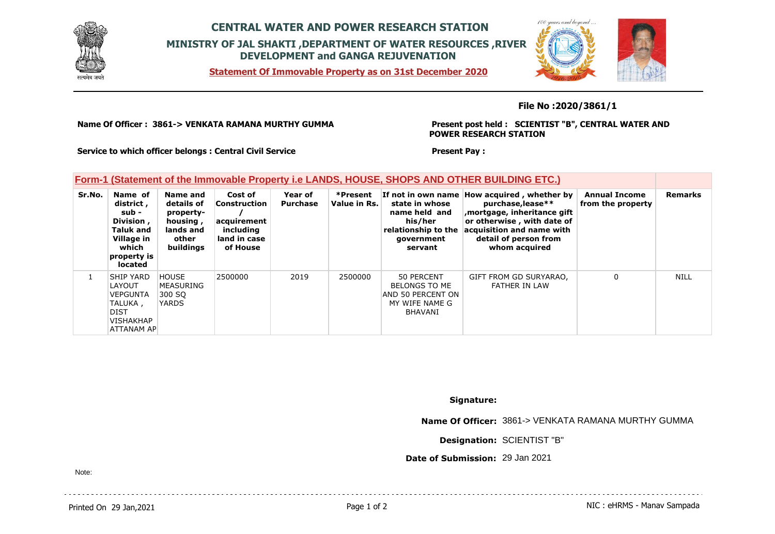

# **CENTRAL WATER AND POWER RESEARCH STATION MINISTRY OF JAL SHAKTI ,DEPARTMENT OF WATER RESOURCES ,RIVER DEVELOPMENT and GANGA REJUVENATION**

**Statement Of Immovable Property as on 31st December 2020**



### **File No :2020/3861/1**

**Name Of Officer : 3861-> VENKATA RAMANA MURTHY GUMMA** 

#### **Present post held : SCIENTIST "B", CENTRAL WATER AND POWER RESEARCH STATION**

**Service to which officer belongs : Central Civil Service**

#### **Present Pay :**

## **Form-1 (Statement of the Immovable Property i.e LANDS, HOUSE, SHOPS AND OTHER BUILDING ETC.)**

| Sr.No. | Name of<br>district,<br>sub -<br>Division,<br><b>Taluk and</b><br>Village in<br>which<br>property is<br><b>located</b> | Name and<br>details of<br>property-<br>housing,<br>lands and<br>other<br>buildings | Cost of<br>Construction<br>acquirement<br>including<br>land in case<br>of House | Year of<br>Purchase | *Present<br>Value in Rs. | state in whose<br>name held and<br>his/her<br>relationship to the<br>government<br>servant | If not in own name How acquired, whether by<br>purchase, lease**<br>mortgage, inheritance gift,<br>or otherwise, with date of<br>acquisition and name with<br>detail of person from<br>whom acquired | <b>Annual Income</b><br>from the property | <b>Remarks</b> |
|--------|------------------------------------------------------------------------------------------------------------------------|------------------------------------------------------------------------------------|---------------------------------------------------------------------------------|---------------------|--------------------------|--------------------------------------------------------------------------------------------|------------------------------------------------------------------------------------------------------------------------------------------------------------------------------------------------------|-------------------------------------------|----------------|
|        | <b>SHIP YARD</b><br><b>LAYOUT</b><br><b>VEPGUNTA</b><br>TALUKA ,<br>DIST<br><b>VISHAKHAP</b><br>ATTANAM AP             | <b>HOUSE</b><br>MEASURING<br>300 SO<br><b>YARDS</b>                                | 2500000                                                                         | 2019                | 2500000                  | 50 PERCENT<br>BELONGS TO ME<br>AND 50 PERCENT ON<br>MY WIFE NAME G<br>BHAVANI              | GIFT FROM GD SURYARAO,<br>FATHER IN LAW                                                                                                                                                              | 0                                         | <b>NILL</b>    |

**Signature:**

**Name Of Officer:** 3861-> VENKATA RAMANA MURTHY GUMMA

**Designation:** SCIENTIST "B"

**Date of Submission:** 29 Jan 2021

Note: